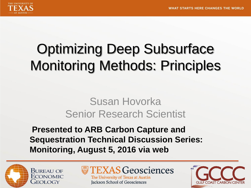

## Optimizing Deep Subsurface Monitoring Methods: Principles

### Susan Hovorka Senior Research Scientist

**Presented to ARB Carbon Capture and Sequestration Technical Discussion Series: Monitoring, August 5, 2016 via web**



**TEXAS Geosciences** The University of Texas at Austin **Jackson School of Geosciences** 

**CARRON CEN**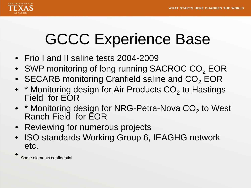

## GCCC Experience Base

- Frio I and II saline tests 2004-2009
- SWP monitoring of long running SACROC CO<sub>2</sub> EOR
- SECARB monitoring Cranfield saline and  $CO<sub>2</sub> EOR$
- $*$  Monitoring design for Air Products  $CO<sub>2</sub>$  to Hastings Field for EOR
- $*$  Monitoring design for NRG-Petra-Nova  $CO<sub>2</sub>$  to West Ranch Field for EOR
- Reviewing for numerous projects
- ISO standards Working Group 6, IEAGHG network etc.

\* Some elements confidential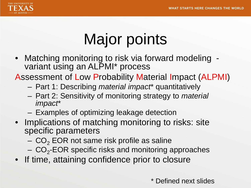

# Major points

• Matching monitoring to risk via forward modeling - variant using an ALPMI\* process

Assessment of Low Probability Material Impact (ALPMI)

- Part 1: Describing *material impact*\* quantitatively
- Part 2: Sensitivity of monitoring strategy to *material impact*\*
- Examples of optimizing leakage detection
- Implications of matching monitoring to risks: site specific parameters
	- $-$  CO<sub>2</sub> EOR not same risk profile as saline
	- $-\text{CO}_2$ -EOR specific risks and monitoring approaches
- If time, attaining confidence prior to closure

\* Defined next slides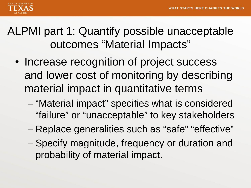

ALPMI part 1: Quantify possible unacceptable outcomes "Material Impacts"

- Increase recognition of project success and lower cost of monitoring by describing material impact in quantitative terms
	- "Material impact" specifies what is considered "failure" or "unacceptable" to key stakeholders
	- Replace generalities such as "safe" "effective"
	- Specify magnitude, frequency or duration and probability of material impact.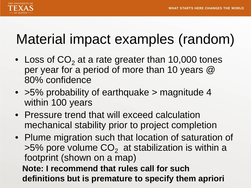

## Material impact examples (random)

- Loss of  $CO<sub>2</sub>$  at a rate greater than 10,000 tones per year for a period of more than 10 years @ 80% confidence
- >5% probability of earthquake > magnitude 4 within 100 years
- Pressure trend that will exceed calculation mechanical stability prior to project completion
- Plume migration such that location of saturation of  $>5\%$  pore volume  $CO<sub>2</sub>$  at stabilization is within a footprint (shown on a map) **Note: I recommend that rules call for such definitions but is premature to specify them apriori**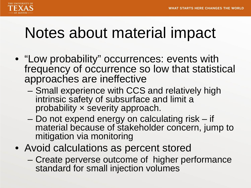

## Notes about material impact

- "Low probability" occurrences: events with frequency of occurrence so low that statistical approaches are ineffective
	- Small experience with CCS and relatively high intrinsic safety of subsurface and limit a probability × severity approach.
	- Do not expend energy on calculating risk if material because of stakeholder concern, jump to mitigation via monitoring
- Avoid calculations as percent stored
	- Create perverse outcome of higher performance standard for small injection volumes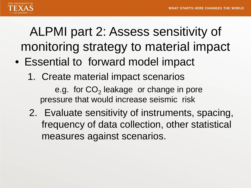

## ALPMI part 2: Assess sensitivity of monitoring strategy to material impact

- Essential to forward model impact
	- 1. Create material impact scenarios e.g. for  $CO<sub>2</sub>$  leakage or change in pore pressure that would increase seismic risk
	- 2. Evaluate sensitivity of instruments, spacing, frequency of data collection, other statistical measures against scenarios.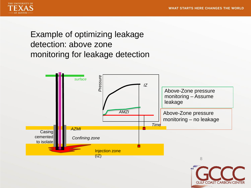**GULF COAST CARBON CENTER** 



Example of optimizing leakage detection: above zone monitoring for leakage detection

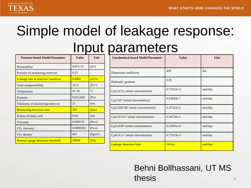

## Simple model of leakage response: Input parameters

| <b>Pressure-based Model Parameter</b> | Value     | Unit                         |
|---------------------------------------|-----------|------------------------------|
| Permeability                          | 9.87e-13  | (m <sup>2</sup> )            |
| Porosity of monitoring reservoir      | 0.25      |                              |
| Leakage rate at reservoir condition   | 0.0001    | $\left(\frac{m^3}{s}\right)$ |
| Total compressibility                 | $1E-9$    | $(Pa^{-1})$                  |
| Temperature                           | 47.78     | $\rm ^{\circ}C$              |
| Pressure                              | 9,652,660 | (Pa)                         |
| Thickness of monitoring reservoir     | 25        | (m)                          |
| <b>Monitoring detection time</b>      | 365       | $\frac{day}{y}$              |
| Radius of leaky well                  | 0.05      | (m)                          |
| Viscosity                             | 0.000578  | (Pa.s)                       |
| CO <sub>2</sub> viscosity             | 0.0000302 | (Pa.s)                       |
| $CO2$ density                         | 401       | (kg/m <sup>3</sup> )         |
| Pressure gauge detection threshold    | 10000     | (Pa)                         |

| <b>Geochemical-based Model Parameter</b>       | <b>Value</b> | Unit                     |
|------------------------------------------------|--------------|--------------------------|
| Dispersion coefficient                         | 400          | dm                       |
| Hydraulic gradient                             | 0.05         | $\overline{\phantom{a}}$ |
| Cpi1 (CO <sub>2</sub> initial concentration)   | $0.71552e-3$ | mol/day                  |
| $Cpi2$ (H <sup>+</sup> initial concentration)  | 0.61843e-7   | mol/day                  |
| Cpi3 (HCOE initial concentration)              | $0.47522e-2$ | mol/day                  |
| Cpi4 (CO3 <sup>-2</sup> initial concentration) | 0.30728e-5   | mol/day                  |
| Cpi5 (OH initial concentration)                | 0.15091e-6   | mol/day                  |
| Cpi6 ( $Ca^{+2}$ initial concentration)        | 0.77923e-3   | mol/day                  |
| <b>Leakage detection limit</b>                 | $10*$ cpi    | mol/day                  |

9 Behni Bollhassani, UT MS thesis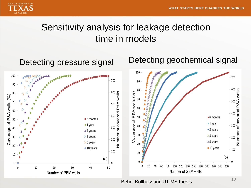

### Sensitivity analysis for leakage detection time in models



Behni Bollhassani, UT MS thesis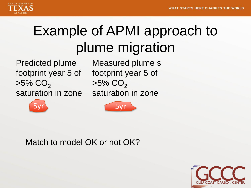

## Example of APMI approach to plume migration

Predicted plume footprint year 5 of  $>5\%$  CO<sub>2</sub> saturation in zone

Measured plume s footprint year 5 of  $>5\%$  CO<sub>2</sub> saturation in zone





### Match to model OK or not OK?

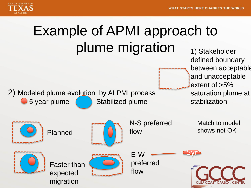

# Example of APMI approach to plume migration

2) Modeled plume evolution by ALPMI process  $\bullet$  5 year plume  $\qquad \qquad$  Stabilized plume

1) Stakeholder – defined boundary between acceptable and unacceptable extent of >5% saturation plume at stabilization

Match to model shows not OK

**GULF COAST CARBON CENT** 

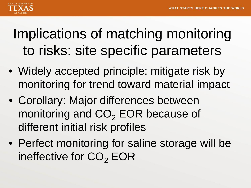

## Implications of matching monitoring to risks: site specific parameters

- Widely accepted principle: mitigate risk by monitoring for trend toward material impact
- Corollary: Major differences between monitoring and  $CO<sub>2</sub> EOR$  because of different initial risk profiles
- Perfect monitoring for saline storage will be ineffective for  $CO<sub>2</sub> EOR$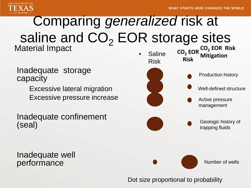

## Comparing *generalized* risk at saline and CO<sub>2</sub> EOR storage sites Material Impact **•** Saline

Inadequate storage capacity

> Excessive lateral migration Excessive pressure increase

Inadequate confinement (seal)

Inadequate well performance



Dot size proportional to probability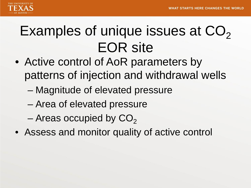

## Examples of unique issues at  $CO<sub>2</sub>$ EOR site

- Active control of AoR parameters by patterns of injection and withdrawal wells
	- Magnitude of elevated pressure
	- Area of elevated pressure
	- Areas occupied by  $CO<sub>2</sub>$
- Assess and monitor quality of active control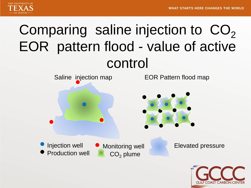**GULF COAST CARBON CEN** 



## Comparing saline injection to  $CO<sub>2</sub>$ EOR pattern flood - value of active control

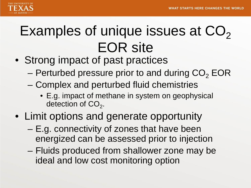

## Examples of unique issues at  $CO<sub>2</sub>$ EOR site

- Strong impact of past practices
	- Perturbed pressure prior to and during  $CO<sub>2</sub> EOR$
	- Complex and perturbed fluid chemistries
		- E.g. impact of methane in system on geophysical detection of CO<sub>2</sub>.
- Limit options and generate opportunity
	- E.g. connectivity of zones that have been energized can be assessed prior to injection
	- Fluids produced from shallower zone may be ideal and low cost monitoring option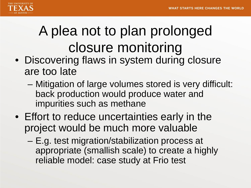

# A plea not to plan prolonged closure monitoring

- Discovering flaws in system during closure are too late
	- Mitigation of large volumes stored is very difficult: back production would produce water and impurities such as methane
- Effort to reduce uncertainties early in the project would be much more valuable
	- E.g. test migration/stabilization process at appropriate (smallish scale) to create a highly reliable model: case study at Frio test